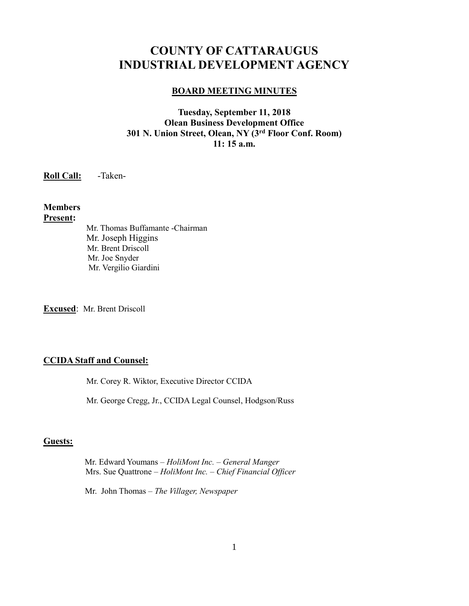# **COUNTY OF CATTARAUGUS INDUSTRIAL DEVELOPMENT AGENCY**

#### **BOARD MEETING MINUTES**

### **Tuesday, September 11, 2018 Olean Business Development Office 301 N. Union Street, Olean, NY (3rd Floor Conf. Room) 11: 15 a.m.**

**Roll Call:** -Taken-

#### **Members Present:**

Mr. Thomas Buffamante -Chairman Mr. Joseph Higgins Mr. Brent Driscoll Mr. Joe Snyder Mr. Vergilio Giardini

**Excused**: Mr. Brent Driscoll

### **CCIDA Staff and Counsel:**

Mr. Corey R. Wiktor, Executive Director CCIDA

Mr. George Cregg, Jr., CCIDA Legal Counsel, Hodgson/Russ

#### **Guests:**

 Mr. Edward Youmans *– HoliMont Inc. – General Manger* Mrs. Sue Quattrone *– HoliMont Inc. – Chief Financial Officer*

Mr. John Thomas – *The Villager, Newspaper*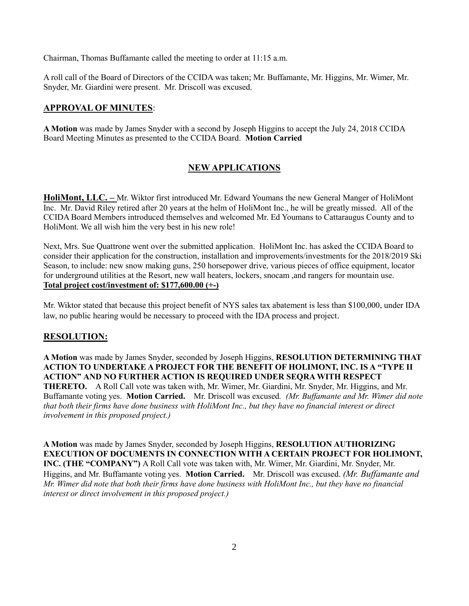Chairman, Thomas Buffamante called the meeting to order at 11:15 a.m.

A roll call of the Board of Directors of the CCIDA was taken; Mr. Buffamante, Mr. Higgins, Mr. Wimer, Mr. Snyder, Mr. Giardini were present. Mr. Driscoll was excused.

### **APPROVAL OF MINUTES**:

**A Motion** was made by James Snyder with a second by Joseph Higgins to accept the July 24, 2018 CCIDA Board Meeting Minutes as presented to the CCIDA Board. **Motion Carried**

### **NEW APPLICATIONS**

**HoliMont, LLC. –** Mr. Wiktor first introduced Mr. Edward Youmans the new General Manger of HoliMont Inc. Mr. David Riley retired after 20 years at the helm of HoliMont Inc., he will be greatly missed. All of the CCIDA Board Members introduced themselves and welcomed Mr. Ed Youmans to Cattaraugus County and to HoliMont. We all wish him the very best in his new role!

Next, Mrs. Sue Quattrone went over the submitted application. HoliMont Inc. has asked the CCIDA Board to consider their application for the construction, installation and improvements/investments for the 2018/2019 Ski Season, to include: new snow making guns, 250 horsepower drive, various pieces of office equipment, locator for underground utilities at the Resort, new wall heaters, lockers, snocam ,and rangers for mountain use. **Total project cost/investment of: \$177,600.00 (+-)**

Mr. Wiktor stated that because this project benefit of NYS sales tax abatement is less than \$100,000, under IDA law, no public hearing would be necessary to proceed with the IDA process and project.

#### **RESOLUTION:**

**A Motion** was made by James Snyder, seconded by Joseph Higgins, **RESOLUTION DETERMINING THAT ACTION TO UNDERTAKE A PROJECT FOR THE BENEFIT OF HOLIMONT, INC. IS A "TYPE II ACTION" AND NO FURTHER ACTION IS REQUIRED UNDER SEQRA WITH RESPECT THERETO.** A Roll Call vote was taken with, Mr. Wimer, Mr. Giardini, Mr. Snyder, Mr. Higgins, and Mr. Buffamante voting yes. **Motion Carried.** Mr. Driscoll was excused*. (Mr. Buffamante and Mr. Wimer did note that both their firms have done business with HoliMont Inc., but they have no financial interest or direct involvement in this proposed project.)*

**A Motion** was made by James Snyder, seconded by Joseph Higgins, **RESOLUTION AUTHORIZING EXECUTION OF DOCUMENTS IN CONNECTION WITH A CERTAIN PROJECT FOR HOLIMONT, INC. (THE "COMPANY")** A Roll Call vote was taken with, Mr. Wimer, Mr. Giardini, Mr. Snyder, Mr. Higgins, and Mr. Buffamante voting yes. **Motion Carried.** Mr. Driscoll was excused. *(Mr. Buffamante and Mr. Wimer did note that both their firms have done business with HoliMont Inc., but they have no financial interest or direct involvement in this proposed project.)*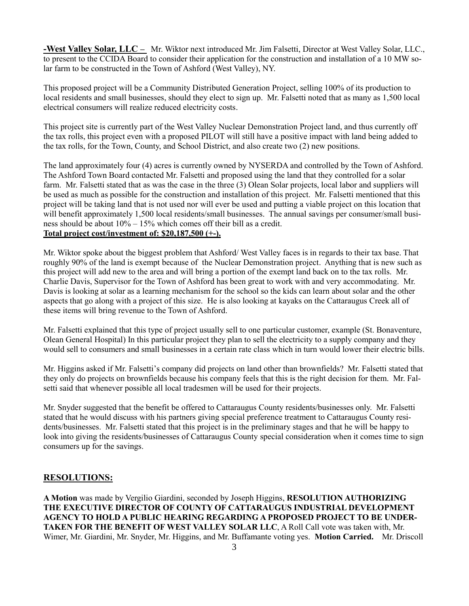**-West Valley Solar, LLC –** Mr. Wiktor next introduced Mr. Jim Falsetti, Director at West Valley Solar, LLC., to present to the CCIDA Board to consider their application for the construction and installation of a 10 MW solar farm to be constructed in the Town of Ashford (West Valley), NY.

This proposed project will be a Community Distributed Generation Project, selling 100% of its production to local residents and small businesses, should they elect to sign up. Mr. Falsetti noted that as many as 1,500 local electrical consumers will realize reduced electricity costs.

This project site is currently part of the West Valley Nuclear Demonstration Project land, and thus currently off the tax rolls, this project even with a proposed PILOT will still have a positive impact with land being added to the tax rolls, for the Town, County, and School District, and also create two (2) new positions.

The land approximately four (4) acres is currently owned by NYSERDA and controlled by the Town of Ashford. The Ashford Town Board contacted Mr. Falsetti and proposed using the land that they controlled for a solar farm. Mr. Falsetti stated that as was the case in the three (3) Olean Solar projects, local labor and suppliers will be used as much as possible for the construction and installation of this project. Mr. Falsetti mentioned that this project will be taking land that is not used nor will ever be used and putting a viable project on this location that will benefit approximately 1,500 local residents/small businesses. The annual savings per consumer/small business should be about 10% – 15% which comes off their bill as a credit.

### **Total project cost/investment of: \$20,187,500 (+-).**

Mr. Wiktor spoke about the biggest problem that Ashford/ West Valley faces is in regards to their tax base. That roughly 90% of the land is exempt because of the Nuclear Demonstration project. Anything that is new such as this project will add new to the area and will bring a portion of the exempt land back on to the tax rolls. Mr. Charlie Davis, Supervisor for the Town of Ashford has been great to work with and very accommodating. Mr. Davis is looking at solar as a learning mechanism for the school so the kids can learn about solar and the other aspects that go along with a project of this size. He is also looking at kayaks on the Cattaraugus Creek all of these items will bring revenue to the Town of Ashford.

Mr. Falsetti explained that this type of project usually sell to one particular customer, example (St. Bonaventure, Olean General Hospital) In this particular project they plan to sell the electricity to a supply company and they would sell to consumers and small businesses in a certain rate class which in turn would lower their electric bills.

Mr. Higgins asked if Mr. Falsetti's company did projects on land other than brownfields? Mr. Falsetti stated that they only do projects on brownfields because his company feels that this is the right decision for them. Mr. Falsetti said that whenever possible all local tradesmen will be used for their projects.

Mr. Snyder suggested that the benefit be offered to Cattaraugus County residents/businesses only. Mr. Falsetti stated that he would discuss with his partners giving special preference treatment to Cattaraugus County residents/businesses. Mr. Falsetti stated that this project is in the preliminary stages and that he will be happy to look into giving the residents/businesses of Cattaraugus County special consideration when it comes time to sign consumers up for the savings.

#### **RESOLUTIONS:**

**A Motion** was made by Vergilio Giardini, seconded by Joseph Higgins, **RESOLUTION AUTHORIZING THE EXECUTIVE DIRECTOR OF COUNTY OF CATTARAUGUS INDUSTRIAL DEVELOPMENT AGENCY TO HOLD A PUBLIC HEARING REGARDING A PROPOSED PROJECT TO BE UNDER-TAKEN FOR THE BENEFIT OF WEST VALLEY SOLAR LLC**, A Roll Call vote was taken with, Mr. Wimer, Mr. Giardini, Mr. Snyder, Mr. Higgins, and Mr. Buffamante voting yes. **Motion Carried.** Mr. Driscoll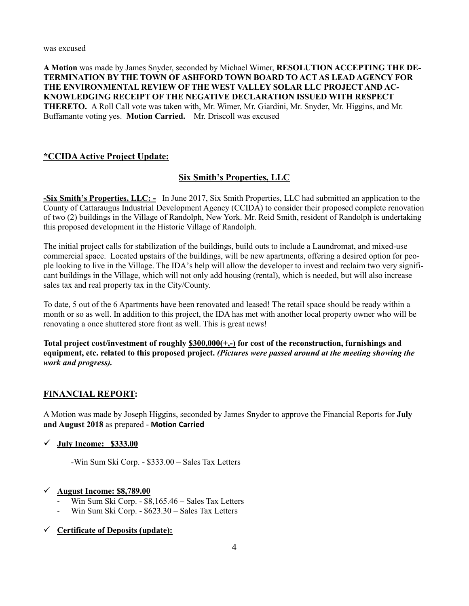was excused

**A Motion** was made by James Snyder, seconded by Michael Wimer, **RESOLUTION ACCEPTING THE DE-TERMINATION BY THE TOWN OF ASHFORD TOWN BOARD TO ACT AS LEAD AGENCY FOR THE ENVIRONMENTAL REVIEW OF THE WEST VALLEY SOLAR LLC PROJECT AND AC-KNOWLEDGING RECEIPT OF THE NEGATIVE DECLARATION ISSUED WITH RESPECT THERETO.** A Roll Call vote was taken with, Mr. Wimer, Mr. Giardini, Mr. Snyder, Mr. Higgins, and Mr. Buffamante voting yes. **Motion Carried.** Mr. Driscoll was excused

### **\*CCIDA Active Project Update:**

### **Six Smith's Properties, LLC**

**-Six Smith's Properties, LLC: -** In June 2017, Six Smith Properties, LLC had submitted an application to the County of Cattaraugus Industrial Development Agency (CCIDA) to consider their proposed complete renovation of two (2) buildings in the Village of Randolph, New York. Mr. Reid Smith, resident of Randolph is undertaking this proposed development in the Historic Village of Randolph.

The initial project calls for stabilization of the buildings, build outs to include a Laundromat, and mixed-use commercial space. Located upstairs of the buildings, will be new apartments, offering a desired option for people looking to live in the Village. The IDA's help will allow the developer to invest and reclaim two very significant buildings in the Village, which will not only add housing (rental), which is needed, but will also increase sales tax and real property tax in the City/County.

To date, 5 out of the 6 Apartments have been renovated and leased! The retail space should be ready within a month or so as well. In addition to this project, the IDA has met with another local property owner who will be renovating a once shuttered store front as well. This is great news!

**Total project cost/investment of roughly \$300,000(+,-) for cost of the reconstruction, furnishings and equipment, etc. related to this proposed project.** *(Pictures were passed around at the meeting showing the work and progress).*

### **FINANCIAL REPORT:**

A Motion was made by Joseph Higgins, seconded by James Snyder to approve the Financial Reports for **July and August 2018** as prepared - **Motion Carried**

#### ✓ **July Income: \$333.00**

*-*Win Sum Ski Corp. - \$333.00 – Sales Tax Letters

#### ✓ **August Income: \$8,789.00**

- Win Sum Ski Corp. \$8,165.46 Sales Tax Letters
- Win Sum Ski Corp. \$623.30 Sales Tax Letters

### ✓ **Certificate of Deposits (update):**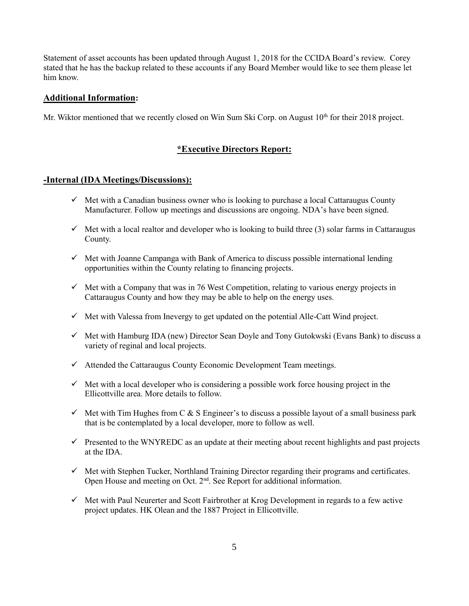Statement of asset accounts has been updated through August 1, 2018 for the CCIDA Board's review. Corey stated that he has the backup related to these accounts if any Board Member would like to see them please let him know.

#### **Additional Information:**

Mr. Wiktor mentioned that we recently closed on Win Sum Ski Corp. on August 10<sup>th</sup> for their 2018 project.

### **\*Executive Directors Report:**

#### **-Internal (IDA Meetings/Discussions):**

- $\checkmark$  Met with a Canadian business owner who is looking to purchase a local Cattaraugus County Manufacturer. Follow up meetings and discussions are ongoing. NDA's have been signed.
- $\checkmark$  Met with a local realtor and developer who is looking to build three (3) solar farms in Cattaraugus County.
- $\checkmark$  Met with Joanne Campanga with Bank of America to discuss possible international lending opportunities within the County relating to financing projects.
- $\checkmark$  Met with a Company that was in 76 West Competition, relating to various energy projects in Cattaraugus County and how they may be able to help on the energy uses.
- $\checkmark$  Met with Valessa from Inevergy to get updated on the potential Alle-Catt Wind project.
- ✓ Met with Hamburg IDA (new) Director Sean Doyle and Tony Gutokwski (Evans Bank) to discuss a variety of reginal and local projects.
- $\checkmark$  Attended the Cattaraugus County Economic Development Team meetings.
- $\checkmark$  Met with a local developer who is considering a possible work force housing project in the Ellicottville area. More details to follow.
- $\checkmark$  Met with Tim Hughes from C & S Engineer's to discuss a possible layout of a small business park that is be contemplated by a local developer, more to follow as well.
- $\checkmark$  Presented to the WNYREDC as an update at their meeting about recent highlights and past projects at the IDA.
- ✓ Met with Stephen Tucker, Northland Training Director regarding their programs and certificates. Open House and meeting on Oct. 2<sup>nd</sup>. See Report for additional information.
- $\checkmark$  Met with Paul Neurerter and Scott Fairbrother at Krog Development in regards to a few active project updates. HK Olean and the 1887 Project in Ellicottville.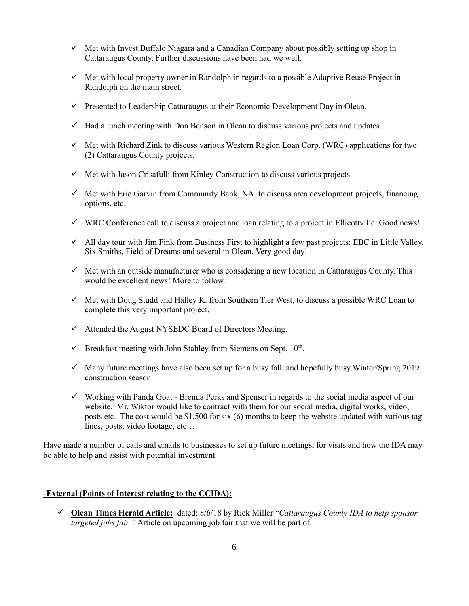- $\checkmark$  Met with Invest Buffalo Niagara and a Canadian Company about possibly setting up shop in Cattaraugus County. Further discussions have been had we well.
- $\checkmark$  Met with local property owner in Randolph in regards to a possible Adaptive Reuse Project in Randolph on the main street.
- $\checkmark$  Presented to Leadership Cattaraugus at their Economic Development Day in Olean.
- $\checkmark$  Had a lunch meeting with Don Benson in Olean to discuss various projects and updates.
- $\checkmark$  Met with Richard Zink to discuss various Western Region Loan Corp. (WRC) applications for two (2) Cattaraugus County projects.
- $\checkmark$  Met with Jason Crisafulli from Kinley Construction to discuss various projects.
- $\checkmark$  Met with Eric Garvin from Community Bank, NA. to discuss area development projects, financing options, etc.
- ✓ WRC Conference call to discuss a project and loan relating to a project in Ellicottville. Good news!
- ✓ All day tour with Jim Fink from Business First to highlight a few past projects: EBC in Little Valley, Six Smiths, Field of Dreams and several in Olean. Very good day!
- $\checkmark$  Met with an outside manufacturer who is considering a new location in Cattaraugus County. This would be excellent news! More to follow.
- $\checkmark$  Met with Doug Studd and Halley K. from Southern Tier West, to discuss a possible WRC Loan to complete this very important project.
- $\checkmark$  Attended the August NYSEDC Board of Directors Meeting.
- $\checkmark$  Breakfast meeting with John Stahley from Siemens on Sept.  $10^{\text{th}}$ .
- $\checkmark$  Many future meetings have also been set up for a busy fall, and hopefully busy Winter/Spring 2019 construction season.
- $\checkmark$  Working with Panda Goat Brenda Perks and Spenser in regards to the social media aspect of our website. Mr. Wiktor would like to contract with them for our social media, digital works, video, posts etc. The cost would be \$1,500 for six (6) months to keep the website updated with various tag lines, posts, video footage, etc…

Have made a number of calls and emails to businesses to set up future meetings, for visits and how the IDA may be able to help and assist with potential investment

#### **-External (Points of Interest relating to the CCIDA):**

✓ **Olean Times Herald Article:** dated: 8/6/18 by Rick Miller "*Cattaraugus County IDA to help sponsor targeted jobs fair."* Article on upcoming job fair that we will be part of.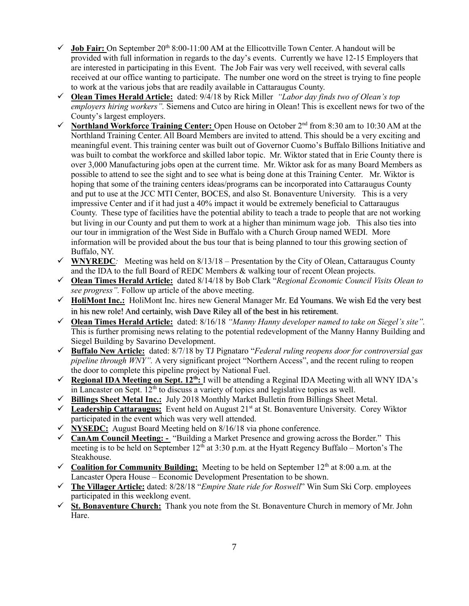- $\checkmark$  **Job Fair:** On September 20<sup>th</sup> 8:00-11:00 AM at the Ellicottville Town Center. A handout will be provided with full information in regards to the day's events. Currently we have 12-15 Employers that are interested in participating in this Event. The Job Fair was very well received, with several calls received at our office wanting to participate. The number one word on the street is trying to fine people to work at the various jobs that are readily available in Cattaraugus County.
- ✓ **Olean Times Herald Article:** dated: 9/4/18 by Rick Miller *"Labor day finds two of Olean's top employers hiring workers".* Siemens and Cutco are hiring in Olean! This is excellent news for two of the County's largest employers.
- ✓ **Northland Workforce Training Center:** Open House on October 2nd from 8:30 am to 10:30 AM at the Northland Training Center. All Board Members are invited to attend. This should be a very exciting and meaningful event. This training center was built out of Governor Cuomo's Buffalo Billions Initiative and was built to combat the workforce and skilled labor topic. Mr. Wiktor stated that in Erie County there is over 3,000 Manufacturing jobs open at the current time. Mr. Wiktor ask for as many Board Members as possible to attend to see the sight and to see what is being done at this Training Center. Mr. Wiktor is hoping that some of the training centers ideas/programs can be incorporated into Cattaraugus County and put to use at the JCC MTI Center, BOCES, and also St. Bonaventure University. This is a very impressive Center and if it had just a 40% impact it would be extremely beneficial to Cattaraugus County. These type of facilities have the potential ability to teach a trade to people that are not working but living in our County and put them to work at a higher than minimum wage job. This also ties into our tour in immigration of the West Side in Buffalo with a Church Group named WEDI. More information will be provided about the bus tour that is being planned to tour this growing section of Buffalo, NY.
- ✓ **WNYREDC***:* Meeting was held on 8/13/18 Presentation by the City of Olean, Cattaraugus County and the IDA to the full Board of REDC Members & walking tour of recent Olean projects.
- ✓ **Olean Times Herald Article:** dated 8/14/18 by Bob Clark "*Regional Economic Council Visits Olean to see progress".* Follow up article of the above meeting.
- ✓ **HoliMont Inc.:** HoliMont Inc. hires new General Manager Mr. Ed Youmans. We wish Ed the very best in his new role! And certainly, wish Dave Riley all of the best in his retirement.
- ✓ **Olean Times Herald Article:** dated: 8/16/18 *"Manny Hanny developer named to take on Siegel's site".* This is further promising news relating to the potential redevelopment of the Manny Hanny Building and Siegel Building by Savarino Development.
- ✓ **Buffalo New Article:** dated: 8/7/18 by TJ Pignataro "*Federal ruling reopens door for controversial gas pipeline through WNY".* A very significant project "Northern Access", and the recent ruling to reopen the door to complete this pipeline project by National Fuel.
- ✓ **Regional IDA Meeting on Sept. 12th:** I will be attending a Reginal IDA Meeting with all WNY IDA's in Lancaster on Sept.  $12<sup>th</sup>$  to discuss a variety of topics and legislative topics as well.
- ✓ **Billings Sheet Metal Inc.:** July 2018 Monthly Market Bulletin from Billings Sheet Metal.
- ✓ **Leadership Cattaraugus:** Event held on August 21st at St. Bonaventure University. Corey Wiktor participated in the event which was very well attended.
- $\checkmark$  **NYSEDC:** August Board Meeting held on 8/16/18 via phone conference.
- ✓ **CanAm Council Meeting: -** "Building a Market Presence and growing across the Border." This meeting is to be held on September  $12<sup>th</sup>$  at 3:30 p.m. at the Hyatt Regency Buffalo – Morton's The Steakhouse.
- $\checkmark$  Coalition for Community Building: Meeting to be held on September 12<sup>th</sup> at 8:00 a.m. at the Lancaster Opera House – Economic Development Presentation to be shown.
- ✓ **The Villager Article:** dated: 8/28/18 "*Empire State ride for Roswell*" Win Sum Ski Corp. employees participated in this weeklong event.
- ✓ **St. Bonaventure Church:** Thank you note from the St. Bonaventure Church in memory of Mr. John Hare.